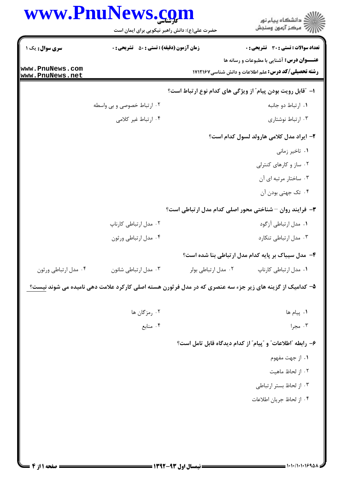|                                    | www.PnuNews.com<br>حضرت علی(ع): دانش راهبر نیکویی برای ایمان است                                                 |                     | ڪ دانشڪاه پيا <sub>م</sub> نور<br>∕ِ <i>"مرڪز</i> آزمون وسنڊش                             |
|------------------------------------|------------------------------------------------------------------------------------------------------------------|---------------------|-------------------------------------------------------------------------------------------|
| سری سوال: یک ۱                     | <b>زمان آزمون (دقیقه) : تستی : 50 ٪ تشریحی : 0</b>                                                               |                     | تعداد سوالات : تستي : 30 ٪ تشريحي : 0<br><b>عنــوان درس:</b> آشنایی با مطبوعات و رسانه ها |
| www.PnuNews.com<br>www.PnuNews.net |                                                                                                                  |                     | <b>رشته تحصیلی/کد درس:</b> علم اطلاعات و دانش شناسی1۷۱۲۱۶۷                                |
|                                    |                                                                                                                  |                     | ا- ″قابل رويت بودن پيام″ از ويژگي هاي كدام نوع ارتباط است؟                                |
|                                    | ۰۲ ارتباط خصوصی و بی واسطه                                                                                       |                     | ٠١. ارتباط دو جانبه                                                                       |
|                                    | ۰۴ ارتباط غیر کلامی                                                                                              |                     | ۰۳ ارتباط نوشتاری                                                                         |
|                                    |                                                                                                                  |                     | ۲- ایراد مدل کلامی هارولد لسول کدام است؟                                                  |
|                                    |                                                                                                                  |                     | ۰۱ تاخیر زمانی                                                                            |
|                                    |                                                                                                                  |                     | ۰۲ ساز و کارهای کنترلی                                                                    |
|                                    |                                                                                                                  |                     | ۰۳ ساختار مرتبه ای آن                                                                     |
|                                    |                                                                                                                  |                     | ۰۴ تک جهتی بودن آن                                                                        |
|                                    |                                                                                                                  |                     | ۰۳ فرایند روان – شناختی محور اصلی کدام مدل ارتباطی است؟                                   |
|                                    | ۰۲ مدل ارتباطی کارناپ                                                                                            |                     | ۰۱ مدل ارتباطي آزگود                                                                      |
|                                    | ۰۴ مدل ارتباطي ورثون                                                                                             |                     | ۰۳ مدل ارتباطی تنکارد                                                                     |
|                                    |                                                                                                                  |                     | ۴- مدل سیباک بر پایه کدام مدل ارتباطی بنا شده است؟                                        |
| ۰۴ مدل ارتباطي ورثون               | ۰۳ مدل ارتباطي شانون                                                                                             | ٠٢ مدل ارتباطي بولر | ٠١ مدل ارتباطي كارناپ                                                                     |
|                                    | ۵– کدامیک از گزینه های زیر جزء سه عنصری که در مدل فرثورن هسته اصلی کارکرد علامت دهی نامیده می شوند نیست <u>؟</u> |                     |                                                                                           |
|                                    | ۰۲ رمزگان ها                                                                                                     |                     | ٠١. پيام ها                                                                               |
|                                    | ۰۴ منابع                                                                                                         |                     | ۰۳ مجرا                                                                                   |
|                                    |                                                                                                                  |                     | ۶- رابطه "اطلاعات" و "پیام" از کدام دیدگاه قابل تامل است؟                                 |
|                                    |                                                                                                                  |                     | ۰۱ از جهت مفهوم                                                                           |
|                                    |                                                                                                                  |                     | ٠٢ از لحاظ ماهيت                                                                          |
|                                    |                                                                                                                  |                     | ۰۳ از لحاظ بستر ارتباطی                                                                   |
|                                    |                                                                                                                  |                     | ۰۴ از لحاظ جريان اطلاعات                                                                  |
|                                    |                                                                                                                  |                     |                                                                                           |
|                                    |                                                                                                                  |                     |                                                                                           |
|                                    |                                                                                                                  |                     |                                                                                           |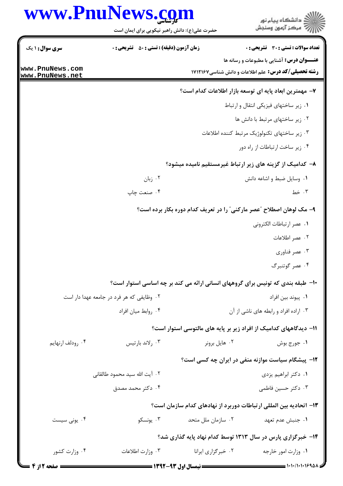|                  | www.PnuNews.com                                    |                                      | ِ دانشڪاه پيا <sub>م</sub> نور<br>/∕ مرڪز آزمون وسنڊش                           |
|------------------|----------------------------------------------------|--------------------------------------|---------------------------------------------------------------------------------|
|                  | حضرت علی(ع): دانش راهبر نیکویی برای ایمان است      |                                      |                                                                                 |
| سری سوال: ۱ یک   | <b>زمان آزمون (دقیقه) : تستی : 50 ٪ تشریحی : 0</b> |                                      | <b>تعداد سوالات : تستی : 30 ٪ تشریحی : 0</b>                                    |
| www.PnuNews.com  |                                                    |                                      | <b>عنـــوان درس:</b> آشنایی با مطبوعات و رسانه ها                               |
| www.PnuNews.net  |                                                    |                                      | <b>رشته تحصیلی/کد درس:</b> علم اطلاعات و دانش شناسی1۷۱۲۱۶۷                      |
|                  |                                                    |                                      | ٧- مهمترين ابعاد پايه اي توسعه بازار اطلاعات كدام است؟                          |
|                  |                                                    |                                      | ٠. زير ساختهاى فيزيكى انتقال و ارتباط                                           |
|                  |                                                    |                                      | ٠٢ زير ساختهاى مرتبط با دانش ها                                                 |
|                  |                                                    |                                      | ۰۳ زیر ساختهای تکنولوژیک مرتبط کننده اطلاعات                                    |
|                  |                                                    |                                      | ۰۴ زیر ساخت ارتباطات از راه دور                                                 |
|                  |                                                    |                                      | ۸– کدامیک از گزینه های زیر ارتباط غیرمستقیم نامیده میشود؟                       |
|                  | ۰۲ زبان                                            |                                      | ۰۱ وسایل ضبط و اشاعه دانش                                                       |
|                  | ۰۴ صنعت چاپ                                        |                                      | ۰۳ خط                                                                           |
|                  |                                                    |                                      | ۹- مک لوهان اصطلاح "عصر مارکنی" را در تعریف کدام دوره بکار برده است؟            |
|                  |                                                    |                                      | ٠١. عصر ارتباطات الكتروني                                                       |
|                  |                                                    |                                      | ۰۲ عصر اطلاعات                                                                  |
|                  |                                                    |                                      | ۰۳ عصر فناوري                                                                   |
|                  |                                                    |                                      | ۰۴ عصر گوتنبرگ                                                                  |
|                  |                                                    |                                      | ∙۱- طبقه بندی که تونیس برای گروههای انسانی ارائه می کند بر چه اساسی استوار است؟ |
|                  | ۰۲ وظایفی که هر فرد در جامعه عهدا دار است          |                                      | ٠١. پيوند بين افراد                                                             |
|                  | ۰۴ روابط ميان افراد                                |                                      | ۰۳ اراده افراد و رابطه های ناشی از آن                                           |
|                  |                                                    |                                      | 11– دیدگاههای کدامیک از افراد زیر بر پایه های مالتوسی استوار است؟               |
| ۰۴ رودلف ارنهایم | ۰۳ رلاند بارتيس                                    | ۰۲ هایل برونر                        | ۰۱ جورج بوش                                                                     |
|                  |                                                    |                                      | <b>۱۲</b> - پیشگام سیاست موازنه منفی در ایران چه کسی است؟                       |
|                  | ٠٢ آيت الله سيد محمود طالقاني                      |                                      | ٠١. دكتر ابراهيم يزدي                                                           |
|                  | ۰۴ دکتر محمد مصدق                                  |                                      | ۰۳ دکتر حسین فاطمی                                                              |
|                  |                                                    |                                      | ۱۳– اتحادیه بین المللی ارتباطات دوربرد از نهادهای کدام سازمان است؟              |
| ۰۴ يونى سيست     | ۰۳ يونسکو                                          | ۰۲ سازمان ملل متحد                   | ١. جنبش عدم تعهد                                                                |
|                  |                                                    |                                      | ۱۴- خبرگزاری پارس در سال ۱۳۱۳ توسط کدام نهاد پایه گذاری شد؟                     |
| ۰۴ وزارت کشور    | ۰۳ وزارت اطلاعات                                   | ۰۲ خبرگزاری ایرانا                   | ۰۱ وزارت امور خارجه                                                             |
|                  |                                                    | $1494 - 44$ f.i. tills $\frac{1}{2}$ | ≥ ۱۰۱۰/۱۰۱۰۱۶۹۸۸ =                                                              |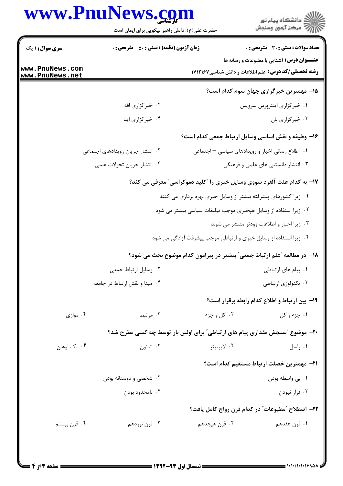## WWW PnuNews com

|                                    | www.PnuNews.com<br>حضرت علی(ع): دانش راهبر نیکویی برای ایمان است             |               | ڪ دانشڪاه پيام نور<br>/> مرڪز آزمون وسنڊش                                                                      |
|------------------------------------|------------------------------------------------------------------------------|---------------|----------------------------------------------------------------------------------------------------------------|
| <b>سری سوال : ۱ یک</b>             | <b>زمان آزمون (دقیقه) : تستی : 50 ٪ تشریحی : 0</b>                           |               | <b>تعداد سوالات : تستی : 30 ٪ تشریحی : 0</b>                                                                   |
| www.PnuNews.com<br>www.PnuNews.net |                                                                              |               | <b>عنــوان درس:</b> آشنایی با مطبوعات و رسانه ها<br><b>رشته تحصیلی/کد درس:</b> علم اطلاعات و دانش شناسی1۷۱۲۱۶۷ |
|                                    |                                                                              |               | ۱۵– مهمترین خبرگزاری جهان سوم کدام است؟                                                                        |
|                                    | ۰۲ خبرگزاری افه                                                              |               | ۰۱ خبرگزاری اینترپرس سرویس                                                                                     |
|                                    | ۰۴ خبرگزاری اینا                                                             |               | ۰۳ خبرگزاری نان                                                                                                |
|                                    |                                                                              |               | ۱۶- وظیفه و نقش اساسی وسایل ارتباط جمعی کدام است؟                                                              |
|                                    | ۰۲ انتشار جریان رویدادهای اجتماعی                                            |               | ٠١. اطلاع رساني اخبار و رويدادهاي سياسي - اجتماعي                                                              |
|                                    | ۰۴ انتشار جريان تحولات علمي                                                  |               | ۰۳ انتشار دانستنی های علمی و فرهنگی                                                                            |
|                                    |                                                                              |               | ۱۷- به کدام علت آلفرد سووی وسایل خبری را "کلید دموکراسی" معرفی می کند؟                                         |
|                                    |                                                                              |               | ۰۱ زیرا کشورهای پیشرفته بیشتر از وسایل خبری بهره برداری می کنند                                                |
|                                    |                                                                              |               | ۰۲ زیرا استفاده از وسایل هپخبری موجب تبلیغات سیاسی بیشتر می شود                                                |
|                                    |                                                                              |               | ۰۳ زیرا اخبار و اطلاعات زودتر منتشر می شوند                                                                    |
|                                    |                                                                              |               | ۰۴ زیرا استفاده از وسایل خبری و ارتباطی موجب پیشرفت آزادگی می شود                                              |
|                                    |                                                                              |               | 1۸– در مطالعه "علم ارتباط جمعی" بیشتر در پیرامون کدام موضوع بحث می شود؟                                        |
|                                    | ٠٢ وسايل ارتباط جمعى                                                         |               | ٠١. پيام هاي ارتباطي                                                                                           |
|                                    | ۰۴ مبنا و نقش ارتباط در جامعه                                                |               | ۰۳ تکنولوژی ارتباطی                                                                                            |
|                                    |                                                                              |               | 19- بین ارتباط و اطلاع کدام رابطه برقرار است؟                                                                  |
| ۰۴ موازی                           | ۰۳ مرتبط                                                                     | ۰۲ کل و جزء   | ١. جزء و كل                                                                                                    |
|                                    | ۲۰- موضوع "سنجش مقداری پیام های ارتباطی" برای اولین بار توسط چه کسی مطرح شد؟ |               |                                                                                                                |
| ۰۴ مک لوهان                        | شانون $\cdot$ ۳                                                              | ۰۲ لايبنيتز   | ٠١ راسل                                                                                                        |
|                                    |                                                                              |               | <b>٢١</b> - مهمترين خصلت ارتباط مستقيم كدام است؟                                                               |
|                                    | ۰۲ شخصی و دوستانه بودن                                                       |               | ٠١ بي واسطه بودن                                                                                               |
|                                    | ۰۴ نامحدود بودن                                                              |               | ۰۳ فرار نبودن                                                                                                  |
|                                    |                                                                              |               | ٢٢- اصطلاح "مطبوعات" در كدام قرن رواج كامل يافت؟                                                               |
| ۰۴ قرن بیستم                       | ۰۳ قرن نوزدهم                                                                | ۰۲ قرن هیجدهم | ۰۱ قرن هفدهم                                                                                                   |
|                                    |                                                                              |               |                                                                                                                |